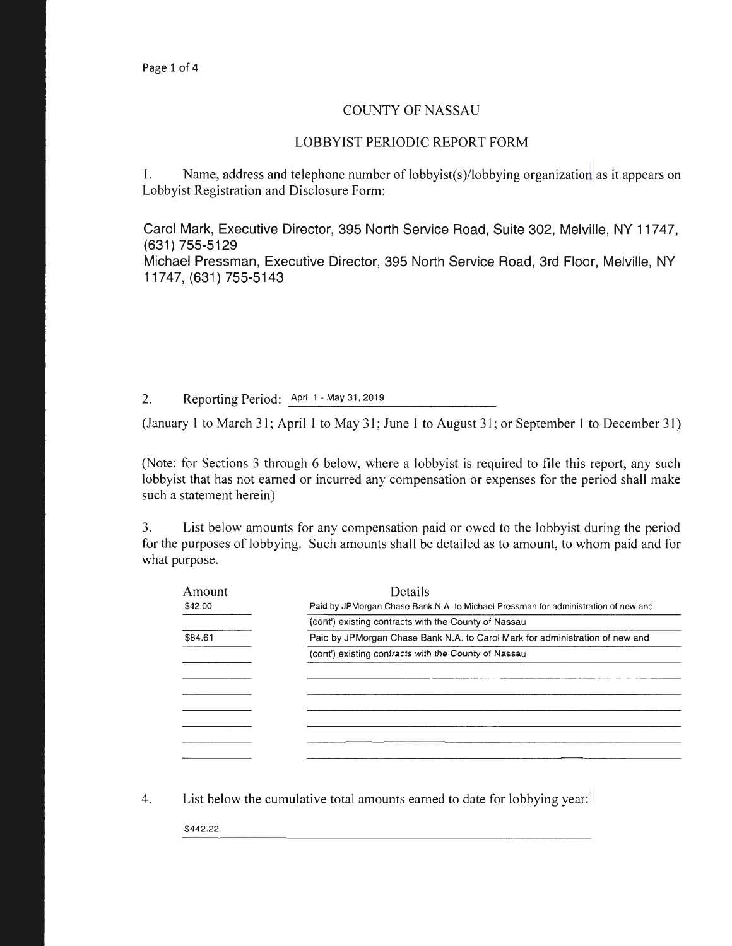## COUNTY OF NASSAU

## LOBBYIST PERIODIC REPORT FORM

1. Name, address and telephone number of lobbyist(s)/lobbying organization as it appears on Lobbyist Registration and Disclosure Form:

Carol Mark, Executive Director, 395 North Service Road, Suite 302, Melville, NY 11747, (631) 755-5129 Michael Pressman, Executive Director, 395 North Service Road, 3rd Floor, Melville, NY 11747, (631) 755-5143

2. Reporting Period: April 1 - May 31, 2019

(January 1 to March 31; April 1 to May 31; June 1 to August 31; or September 1 to December 31)

(Note: for Sections 3 through 6 below, where a lobbyist is required to file this report, any such lobbyist that has not earned or incurred any compensation or expenses for the period shall make such a statement herein)

3. List below amounts for any compensation paid or owed to the lobbyist during the period for the purposes of lobbying. Such amounts shall be detailed as to amount, to whom paid and for what purpose.

| Amount  | <b>Details</b>                                                                      |  |
|---------|-------------------------------------------------------------------------------------|--|
| \$42.00 | Paid by JPM organ Chase Bank N.A. to Michael Pressman for administration of new and |  |
|         | (cont') existing contracts with the County of Nassau                                |  |
| \$84.61 | Paid by JPMorgan Chase Bank N.A. to Carol Mark for administration of new and        |  |
|         | (cont') existing contracts with the County of Nassau                                |  |
|         |                                                                                     |  |
|         |                                                                                     |  |
|         |                                                                                     |  |
|         |                                                                                     |  |
|         |                                                                                     |  |
|         |                                                                                     |  |
|         |                                                                                     |  |

4. List below the cumulative total amounts earned to date for lobbying year:

\$442.22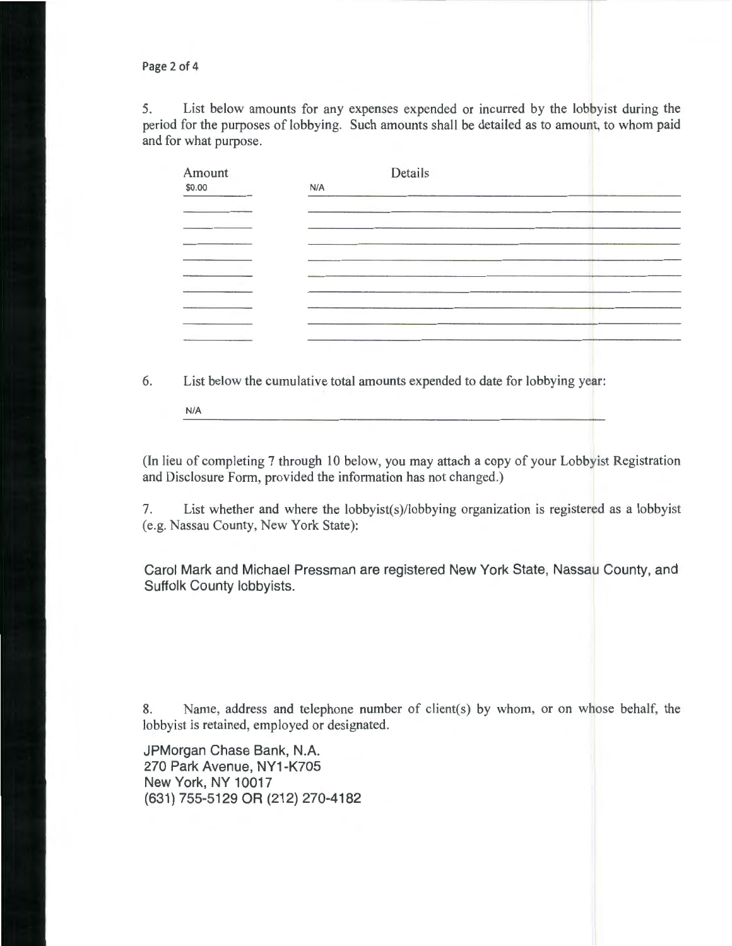Page 2 of 4

5. List below amounts for any expenses expended or incurred by the lobbyist during the period for the purposes of lobbying. Such amounts shall be detailed as to amount, to whom paid and for what purpose.

| Amount | Details |  |
|--------|---------|--|
| \$0.00 | N/A     |  |
|        |         |  |
|        |         |  |
|        |         |  |
|        |         |  |
|        |         |  |
|        |         |  |
|        |         |  |
|        |         |  |
|        |         |  |
|        |         |  |

6. List below the cumulative total amounts expended to date for lobbying year:

N/A

(In lieu of completing 7 through 10 below, you may attach a copy of your Lobbyist Registration and Disclosure Form, provided the information has not changed.)

7. List whether and where the lobbyist(s)/lobbying organization is registered as a lobbyist (e.g. Nassau County, New York State):

Carol Mark and Michael Pressman are registered New York State, Nassau County, and Suffolk County lobbyists.

8. Name, address and telephone number of client(s) by whom, or on whose behalf, the lobbyist is retained, employed or designated.

JPMorgan Chase Bank, N.A. 270 Park Avenue, NY1-K705 New York, NY 10017 (631) 755-5129 OR (212) 270-4182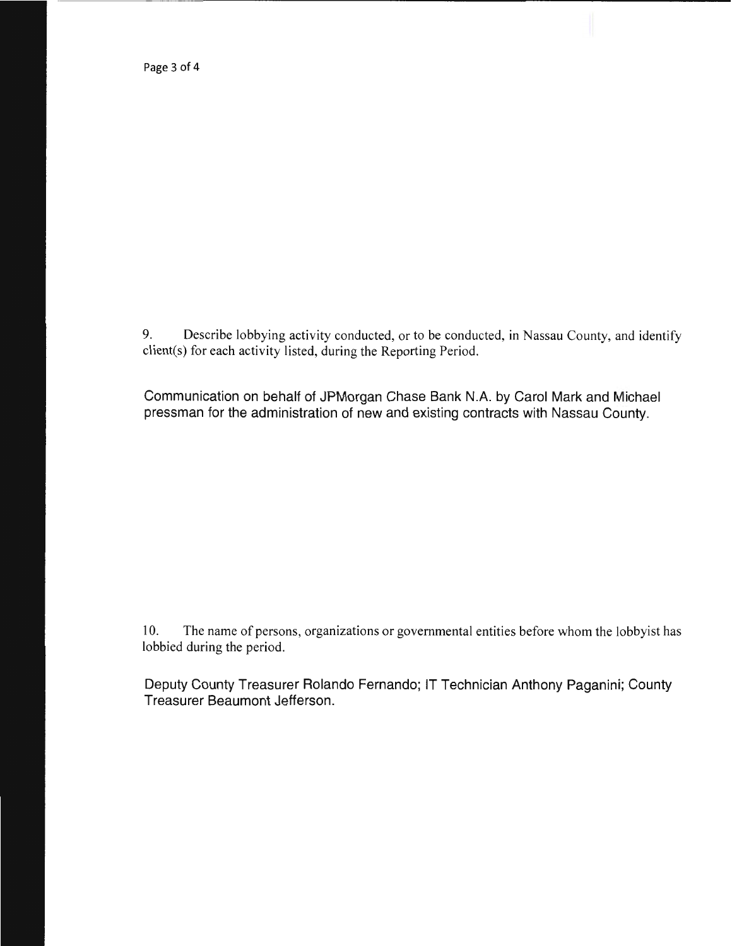Page 3 of 4

9. Describe lobbying activity conducted, or to be conducted, in Nassau County, and identify client(s) for each activity listed, during the Reporting Period.

Communication on behalf of JPMorgan Chase Bank N.A. by Carol Mark and Michael pressman for the administration of new and existing contracts with Nassau County.

10. The name of persons, organizations or governmental entities before whom the lobbyist has lobbied during the period.

Deputy County Treasurer Rolando Fernando; IT Technician Anthony Paganini; County Treasurer Beaumont Jefferson.